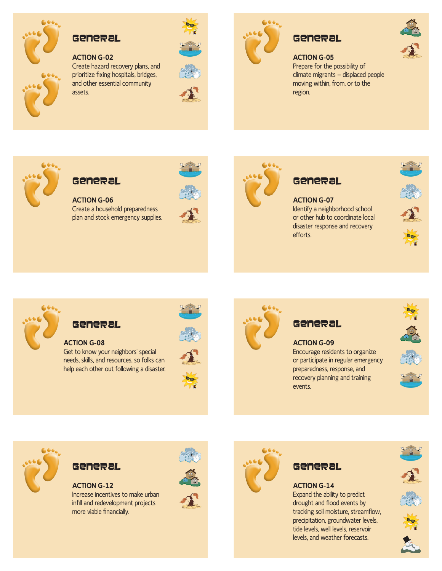

#### GENERAL

#### **ACTION G-02**

Create hazard recovery plans, and prioritize fixing hospitals, bridges, and other essential community assets.





# GENERAL

#### **ACTION G-05**

Prepare for the possibility of climate migrants — displaced people moving within, from, or to the region.



# GENERAL

**ACTION G-06** Create a household preparedness plan and stock emergency supplies.





# GENERAL

**ACTION G-07** Identify a neighborhood school or other hub to coordinate local disaster response and recovery efforts.







## GENERAL

**ACTION G-08**

Get to know your neighbors' special needs, skills, and resources, so folks can help each other out following a disaster.







#### **ACTION G-09** Encourage residents to organize or participate in regular emergency preparedness, response, and recovery planning and training events.





# GENERAL

**ACTION G-12** Increase incentives to make urban infill and redevelopment projects more viable financially.





# GENERAL

**ACTION G-14** Expand the ability to predict drought and flood events by tracking soil moisture, streamflow, precipitation, groundwater levels, tide levels, well levels, reservoir levels, and weather forecasts.







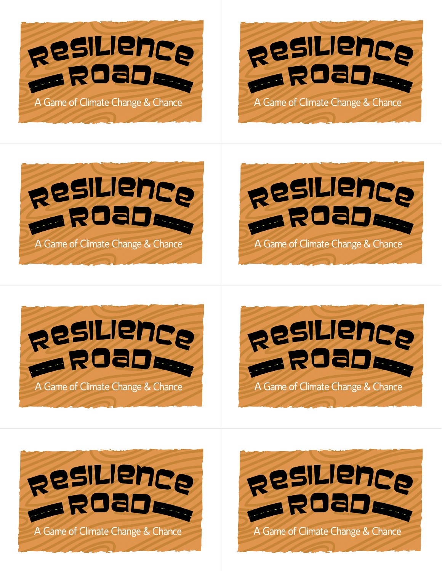













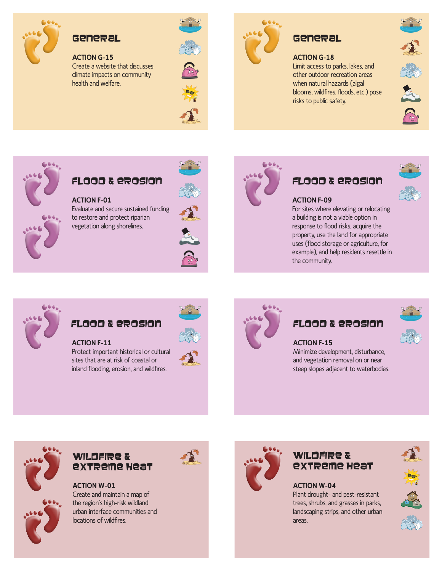

## GENERAL

#### **ACTION G-15**

Create a website that discusses climate impacts on community health and welfare.





# GENERAL

#### **ACTION G-18**

Limit access to parks, lakes, and other outdoor recreation areas when natural hazards (algal blooms, wildfires, floods, etc.) pose risks to public safety.





## Flood & Erosion

**ACTION F-01** Evaluate and secure sustained funding to restore and protect riparian vegetation along shorelines.





## Flood & Erosion



#### **ACTION F-09**

For sites where elevating or relocating a building is not a viable option in response to flood risks, acquire the property, use the land for appropriate uses (flood storage or agriculture, for example), and help residents resettle in the community.



# Flood & Erosion

**ACTION F-11** Protect important historical or cultural sites that are at risk of coastal or inland flooding, erosion, and wildfires.





## Flood & Erosion

# **ACTION F-15**

Minimize development, disturbance, and vegetation removal on or near steep slopes adjacent to waterbodies.



#### WILDFIRE & Extreme Heat

**ACTION W-01** Create and maintain a map of the region's high-risk wildland urban interface communities and locations of wildfires.



### Wildfire & Extreme Heat

**ACTION W-04** Plant drought- and pest-resistant trees, shrubs, and grasses in parks, landscaping strips, and other urban areas.

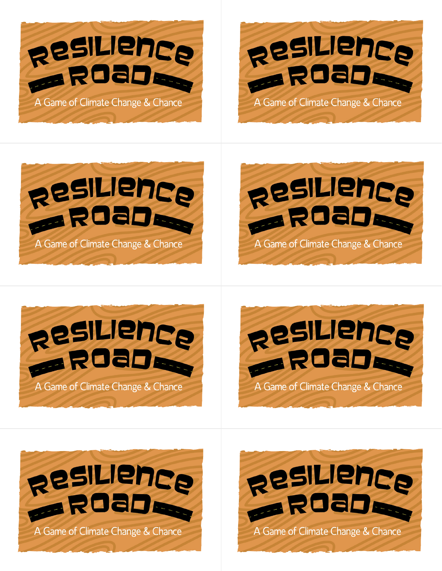













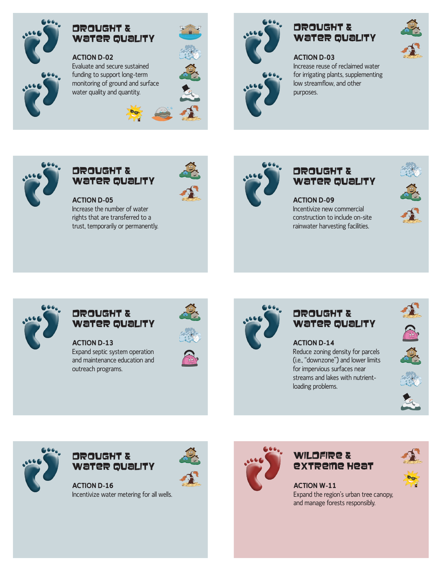

#### Drought & Water Quality

**ACTION D-02** Evaluate and secure sustained funding to support long-term monitoring of ground and surface water quality and quantity.





# Drought & Water Quality

# **ACTION D-03**

Increase reuse of reclaimed water for irrigating plants, supplementing low streamflow, and other purposes.



### Drought & Water Quality

**ACTION D-05** Increase the number of water rights that are transferred to a trust, temporarily or permanently.



#### Drought & Water Quality

**ACTION D-09** Incentivize new commercial construction to include on-site rainwater harvesting facilities.







#### Drought & Water Quality

**ACTION D-13** Expand septic system operation and maintenance education and outreach programs.





## Drought & Water Quality

**ACTION D-14** Reduce zoning density for parcels (i.e., "downzone") and lower limits for impervious surfaces near streams and lakes with nutrientloading problems.











#### Drought & Water Quality

**ACTION D-16** Incentivize water metering for all wells.



## WILDFIRE & Extreme Heat

**ACTION W-11** Expand the region's urban tree canopy, and manage forests responsibly.

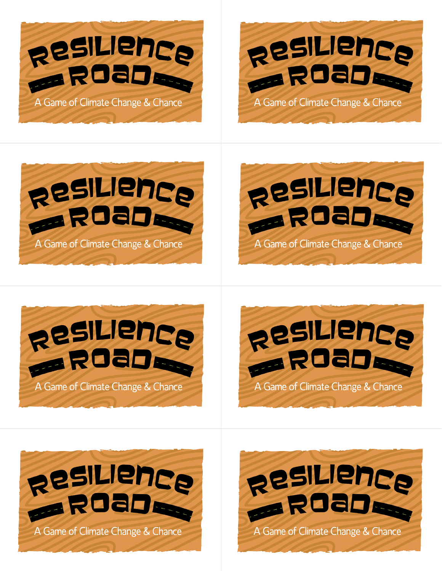













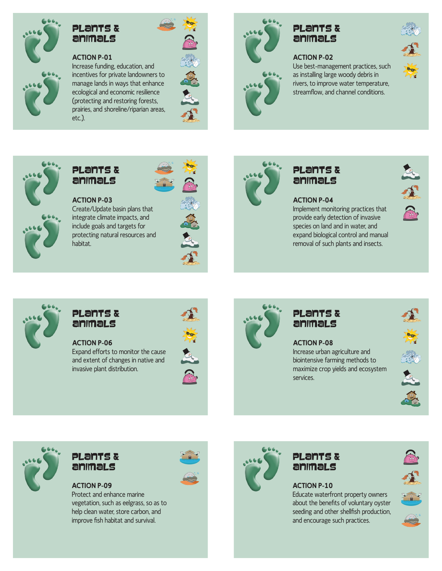

## Plants & Animals

#### **ACTION P-01**

Increase funding, education, and incentives for private landowners to manage lands in ways that enhance ecological and economic resilience (protecting and restoring forests, prairies, and shoreline/riparian areas, etc.).





# Plants & Animals

#### **ACTION P-02**

Use best-management practices, such as installing large woody debris in rivers, to improve water temperature, streamflow, and channel conditions.





### Plants & Animals

**ACTION P-03** Create/Update basin plans that integrate climate impacts, and include goals and targets for protecting natural resources and habitat.





#### Plants & Animals

**ACTION P-04**

Implement monitoring practices that provide early detection of invasive species on land and in water, and expand biological control and manual removal of such plants and insects.





#### Plants & Animals

**ACTION P-06** Expand efforts to monitor the cause and extent of changes in native and

invasive plant distribution.





# Plants & Animals

**ACTION P-08** Increase urban agriculture and biointensive farming methods to maximize crop yields and ecosystem services.





## Plants & Animals

**ACTION P-09** Protect and enhance marine vegetation, such as eelgrass, so as to help clean water, store carbon, and improve fish habitat and survival.





## Plants & Animals

### **ACTION P-10**

Educate waterfront property owners about the benefits of voluntary oyster seeding and other shellfish production, and encourage such practices.



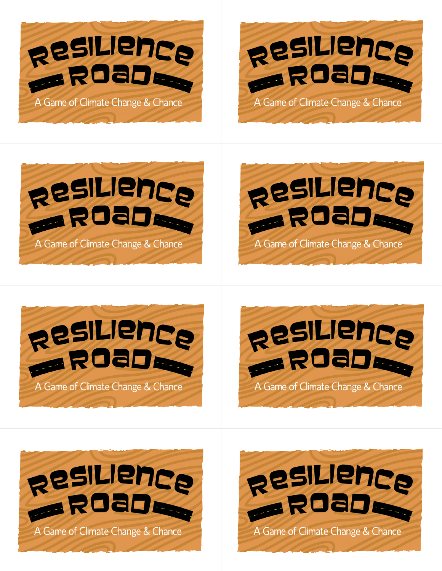













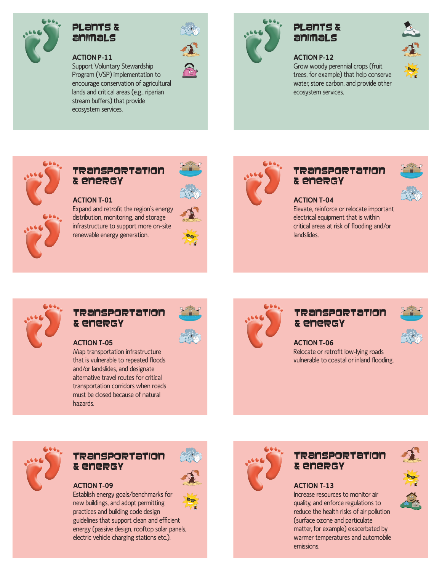

## Plants & Animals

#### **ACTION P-11**

Support Voluntary Stewardship Program (VSP) implementation to encourage conservation of agricultural lands and critical areas (e.g., riparian stream buffers) that provide ecosystem services.



# Plants & Animals

#### **ACTION P-12**

Grow woody perennial crops (fruit trees, for example) that help conserve water, store carbon, and provide other ecosystem services.





#### Transportation & Energy

**ACTION T-01**

Expand and retrofit the region's energy distribution, monitoring, and storage infrastructure to support more on-site renewable energy generation.





#### Transportation & Energy



#### **ACTION T-04**

Elevate, reinforce or relocate important electrical equipment that is within critical areas at risk of flooding and/or landslides.

#### Transportation & Energy



#### **ACTION T-05**

Map transportation infrastructure that is vulnerable to repeated floods and/or landslides, and designate alternative travel routes for critical transportation corridors when roads must be closed because of natural hazards.



### Transportation & Energy



**ACTION T-06** Relocate or retrofit low-lying roads vulnerable to coastal or inland flooding.

#### Transportation & Energy



Establish energy goals/benchmarks for new buildings, and adopt permitting practices and building code design

guidelines that support clean and efficient energy (passive design, rooftop solar panels, electric vehicle charging stations etc.).



## Transportation & Energy



#### **ACTION T-13**

Increase resources to monitor air quality, and enforce regulations to reduce the health risks of air pollution (surface ozone and particulate matter, for example) exacerbated by warmer temperatures and automobile emissions.

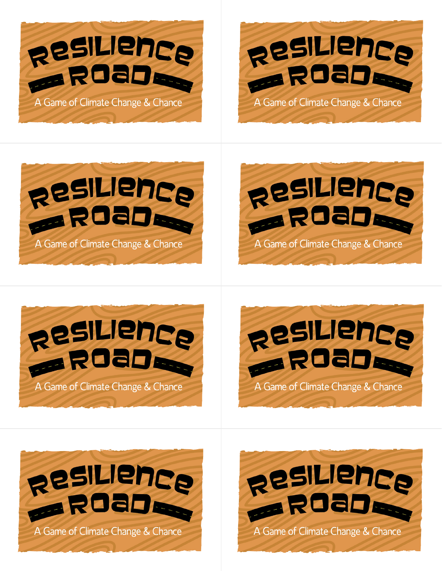













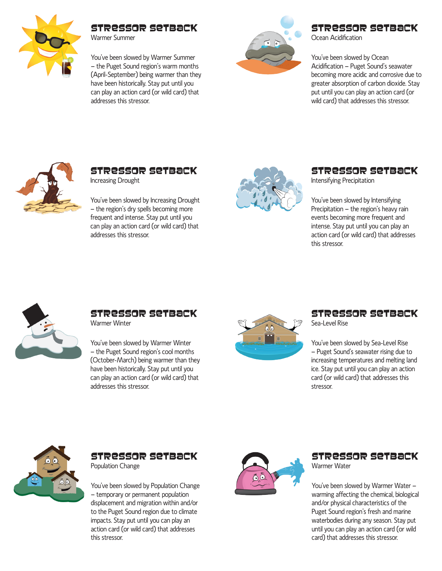

### Stressor Setback

Warmer Summer

You've been slowed by Warmer Summer — the Puget Sound region's warm months (April-September) being warmer than they have been historically. Stay put until you can play an action card (or wild card) that addresses this stressor.



## Stressor Setback

Ocean Acidification

You've been slowed by Ocean Acidification — Puget Sound's seawater becoming more acidic and corrosive due to greater absorption of carbon dioxide. Stay put until you can play an action card (or wild card) that addresses this stressor.



#### Stressor Setback Increasing Drought

You've been slowed by Increasing Drought — the region's dry spells becoming more frequent and intense. Stay put until you can play an action card (or wild card) that addresses this stressor.



#### Stressor Setback Intensifying Precipitation

You've been slowed by Intensifying Precipitation — the region's heavy rain events becoming more frequent and intense. Stay put until you can play an action card (or wild card) that addresses this stressor.



# Stressor Setback

Warmer Winter

You've been slowed by Warmer Winter — the Puget Sound region's cool months (October-March) being warmer than they have been historically. Stay put until you can play an action card (or wild card) that addresses this stressor.



## Stressor Setback

Sea-Level Rise

You've been slowed by Sea-Level Rise — Puget Sound's seawater rising due to increasing temperatures and melting land ice. Stay put until you can play an action card (or wild card) that addresses this stressor.



# Stressor Setback

Population Change

You've been slowed by Population Change — temporary or permanent population displacement and migration within and/or to the Puget Sound region due to climate impacts. Stay put until you can play an action card (or wild card) that addresses this stressor.



#### Stressor Setback Warmer Water

You've been slowed by Warmer Water warming affecting the chemical, biological and/or physical characteristics of the Puget Sound region's fresh and marine waterbodies during any season. Stay put until you can play an action card (or wild card) that addresses this stressor.